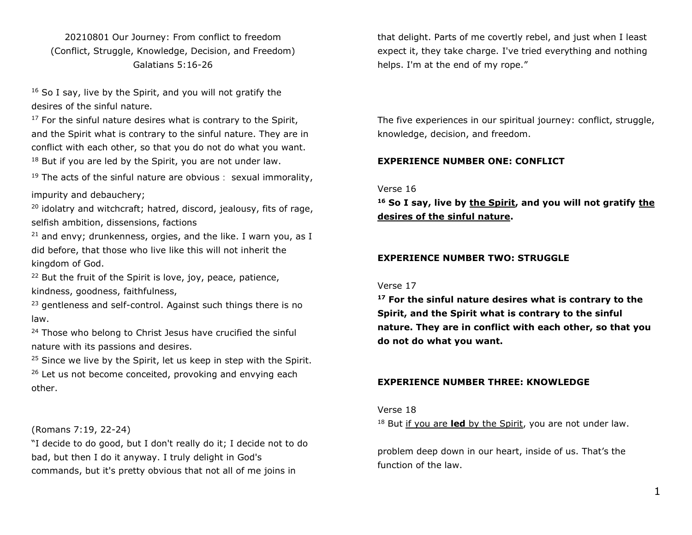20210801 Our Journey: From conflict to freedom (Conflict, Struggle, Knowledge, Decision, and Freedom) Galatians 5:16-26

<sup>16</sup> So I say, live by the Spirit, and you will not gratify the desires of the sinful nature.

 $17$  For the sinful nature desires what is contrary to the Spirit, and the Spirit what is contrary to the sinful nature. They are in conflict with each other, so that you do not do what you want.  $18$  But if you are led by the Spirit, you are not under law.

 $19$  The acts of the sinful nature are obvious: sexual immorality, impurity and debauchery;

 $20$  idolatry and witchcraft; hatred, discord, jealousy, fits of rage, selfish ambition, dissensions, factions

 $21$  and envy; drunkenness, orgies, and the like. I warn you, as I did before, that those who live like this will not inherit the kingdom of God.

<sup>22</sup> But the fruit of the Spirit is love, joy, peace, patience, kindness, goodness, faithfulness,

<sup>23</sup> gentleness and self-control. Against such things there is no law.

<sup>24</sup> Those who belong to Christ Jesus have crucified the sinful nature with its passions and desires.

<sup>25</sup> Since we live by the Spirit, let us keep in step with the Spirit.  $26$  Let us not become conceited, provoking and envying each other.

(Romans 7:19, 22-24)

"I decide to do good, but I don't really do it; I decide not to do bad, but then I do it anyway. I truly delight in God's commands, but it's pretty obvious that not all of me joins in

that delight. Parts of me covertly rebel, and just when I least expect it, they take charge. I've tried everything and nothing helps. I'm at the end of my rope."

The five experiences in our spiritual journey: conflict, struggle, knowledge, decision, and freedom.

## **EXPERIENCE NUMBER ONE: CONFLICT**

Verse 16

**<sup>16</sup> So I say, live by the Spirit, and you will not gratify the desires of the sinful nature.**

### **EXPERIENCE NUMBER TWO: STRUGGLE**

#### Verse 17

**<sup>17</sup> For the sinful nature desires what is contrary to the Spirit, and the Spirit what is contrary to the sinful nature. They are in conflict with each other, so that you do not do what you want.**

#### **EXPERIENCE NUMBER THREE: KNOWLEDGE**

#### Verse 18

<sup>18</sup> But if you are **led** by the Spirit, you are not under law.

problem deep down in our heart, inside of us. That's the function of the law.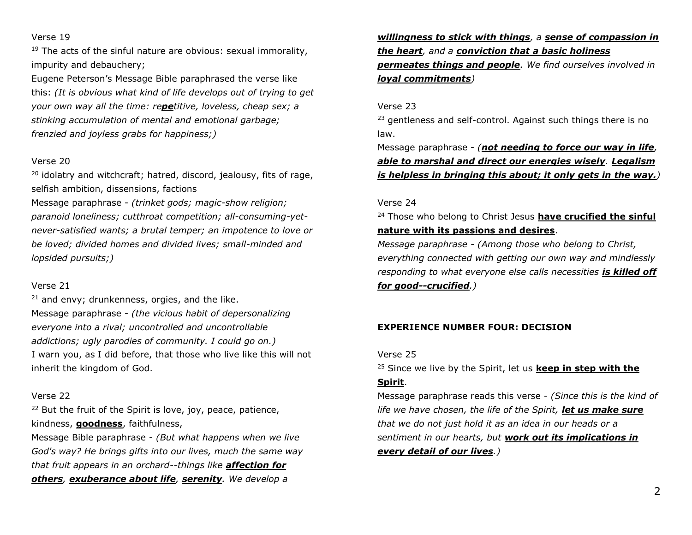### Verse 19

 $19$  The acts of the sinful nature are obvious: sexual immorality, impurity and debauchery;

Eugene Peterson's Message Bible paraphrased the verse like this: *(It is obvious what kind of life develops out of trying to get your own way all the time: repetitive, loveless, cheap sex; a stinking accumulation of mental and emotional garbage; frenzied and joyless grabs for happiness;)*

### Verse 20

 $20$  idolatry and witchcraft; hatred, discord, jealousy, fits of rage, selfish ambition, dissensions, factions

Message paraphrase - *(trinket gods; magic-show religion; paranoid loneliness; cutthroat competition; all-consuming-yetnever-satisfied wants; a brutal temper; an impotence to love or be loved; divided homes and divided lives; small-minded and lopsided pursuits;)*

## Verse 21

 $21$  and envy; drunkenness, orgies, and the like. Message paraphrase - *(the vicious habit of depersonalizing everyone into a rival; uncontrolled and uncontrollable addictions; ugly parodies of community. I could go on.)* I warn you, as I did before, that those who live like this will not inherit the kingdom of God.

# Verse 22

<sup>22</sup> But the fruit of the Spirit is love, joy, peace, patience, kindness, **goodness**, faithfulness,

Message Bible paraphrase - *(But what happens when we live God's way? He brings gifts into our lives, much the same way that fruit appears in an orchard--things like affection for others, exuberance about life, serenity. We develop a* 

*willingness to stick with things, a sense of compassion in the heart, and a conviction that a basic holiness permeates things and people. We find ourselves involved in loyal commitments)*

# Verse 23

<sup>23</sup> gentleness and self-control. Against such things there is no law.

Message paraphrase - *(not needing to force our way in life, able to marshal and direct our energies wisely. Legalism is helpless in bringing this about; it only gets in the way.)*

# Verse 24

<sup>24</sup> Those who belong to Christ Jesus **have crucified the sinful nature with its passions and desires**.

*Message paraphrase - (Among those who belong to Christ, everything connected with getting our own way and mindlessly responding to what everyone else calls necessities is killed off for good--crucified.)*

# **EXPERIENCE NUMBER FOUR: DECISION**

#### Verse 25

<sup>25</sup> Since we live by the Spirit, let us **keep in step with the** 

## **Spirit**.

Message paraphrase reads this verse - *(Since this is the kind of life we have chosen, the life of the Spirit, let us make sure that we do not just hold it as an idea in our heads or a sentiment in our hearts, but work out its implications in every detail of our lives.)*